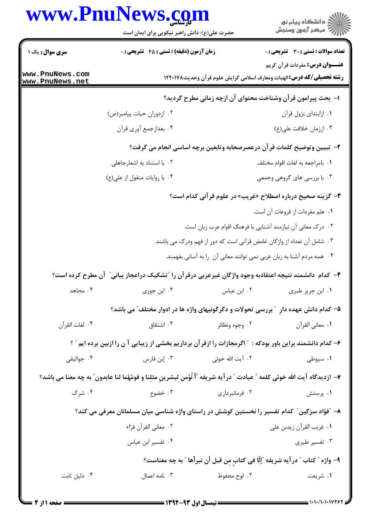## WWW DnuNawe com

|                                    | www.Phunews.co<br>حضرت علی(ع): دانش راهبر نیکویی برای ایمان است                                                          |                                                                        | ≦ دانشڪاه پيام نور<br>7 مرڪز آزمون وسنڊش                                                                               |  |  |  |
|------------------------------------|--------------------------------------------------------------------------------------------------------------------------|------------------------------------------------------------------------|------------------------------------------------------------------------------------------------------------------------|--|--|--|
| <b>سری سوال :</b> یک ۱             | <b>زمان آزمون (دقیقه) : تستی : 45 تشریحی : 0</b>                                                                         |                                                                        | <b>تعداد سوالات : تستی : 30 ٪ تشریحی : 0</b>                                                                           |  |  |  |
| www.PnuNews.com<br>www.PnuNews.net |                                                                                                                          |                                                                        | <b>عنـــوان درس:</b> مفردات قرآن کریم<br><b>رشته تحصیلی/کد درس: ا</b> لهیات ومعارف اسلامی گرایش علوم قرآن وحدیث۱۲۲۰۱۷۸ |  |  |  |
|                                    | ا– بحث پیرامون قرآن وشناخت محتوای آن ازچه زمانی مطرح گردید؟                                                              |                                                                        |                                                                                                                        |  |  |  |
|                                    | ۰۲ ازدوران حیات پیامبر(ص)                                                                                                |                                                                        | ٠١. ازابتداى نزول قرآن                                                                                                 |  |  |  |
|                                    | ۰۴ بعدازجمع أوري قرأن                                                                                                    |                                                                        | ۰۳ اززمان خلافت على(ع)                                                                                                 |  |  |  |
|                                    |                                                                                                                          |                                                                        | ۲- تبیین وتوضیح کلمات قرآن درعصرصحابه وتابعین برچه اساسی انجام می گرفت؟                                                |  |  |  |
|                                    | ۰۲ با استناد به اشعارجاهلی                                                                                               |                                                                        | ٠١. بامراجعه به لغات اقوام مختلف                                                                                       |  |  |  |
|                                    | ۰۴ با روايات منقول از على(ع)                                                                                             |                                                                        | ۰۳ با بررسی های گروهی وجمعی                                                                                            |  |  |  |
|                                    |                                                                                                                          |                                                                        | <b>۳</b> - گزینه صحیح درباره اصطلاح «غریب» در علوم قرآنی کدام است؟                                                     |  |  |  |
|                                    |                                                                                                                          |                                                                        | ٠١ علم مفردات از فروعات آن است.                                                                                        |  |  |  |
|                                    |                                                                                                                          | ۰۲ درک معانی آن نیازمند آشنایی با فرهنگ اقوام عرب زبان است.            |                                                                                                                        |  |  |  |
|                                    |                                                                                                                          | ۰۳ شامل آن تعداد از واژگان غامض قرآنی است که دور از فهم ودرک می باشند. |                                                                                                                        |  |  |  |
|                                    |                                                                                                                          | ۰۴ همه مردم آشنا به زبان عربی نمی توانند معانی آن را به آسانی بفهمند.  |                                                                                                                        |  |  |  |
|                                    | ۴– کدام  دانشمند نتیجه اعتقادبه وجود واژگان غیرعربی درقرآن را "تشکیک دراعجاز بیانی″ آن مطرح کرده است؟                    |                                                                        |                                                                                                                        |  |  |  |
| ۰۴ مجاهد                           | ۰۳ ابن جوزی                                                                                                              | ۰۲ ابن عباس                                                            | ۰۱ ابن جریر طبری                                                                                                       |  |  |  |
|                                    | ۵– کدام دانش عهده دار ″بررسی تحولات و دگرگونیهای واژه ها در ادوار مختلف″می باشد؟                                         |                                                                        |                                                                                                                        |  |  |  |
| ۰۴ لغات القرآن                     | ۰۳ اشتقاق                                                                                                                | ۰۲ وجوه ونظائر                                                         | ٠١. معاني القرآن                                                                                                       |  |  |  |
|                                    | ۶- کدام دانشمند براین باور بودکه : ″ اگرمجازات را ازقر آن برداریم بخشی از زیبایی آ ن را ازبین برده ایم ″ ؟               |                                                                        |                                                                                                                        |  |  |  |
| ۰۴ جواليقي                         | ۰۳ إبن فارس                                                                                                              | ۰۲ آیت الله خوئی                                                       | ۰۱ سیوطی                                                                                                               |  |  |  |
|                                    | ٧- ازديدگاه آيت الله خوئي كلمه ″ عبادت ″ درآيه شريفه ″أ نُؤمن لِبشرينِ مثلِنا و قومُهُما لنا عابدون″ به چه معنا مي باشد؟ |                                                                        |                                                                                                                        |  |  |  |
| ۰۴ شرک                             | ۰۳ خضوع                                                                                                                  | ۰۲ فرمانبرداری                                                         | ۰۱ پرستش                                                                                                               |  |  |  |
|                                    | ۸– "فؤاد سزگین" کدام تفسیر را نخستین کوشش در راستای واژه شناسی میان مسلمانان معرفی می کند؟                               |                                                                        |                                                                                                                        |  |  |  |
|                                    | ٢. معاني القرآن فرّاء                                                                                                    |                                                                        | ٠١ غريب القرآن زيدبن علي                                                                                               |  |  |  |
|                                    | ۰۴ تفسیر ابن عباس                                                                                                        |                                                                        | ۰۳ تفسیر طبری                                                                                                          |  |  |  |
|                                    |                                                                                                                          |                                                                        | ٩- واژه ″ كتاب ″ در آيه شريفه ″إلّا في كتاب مِن قبل أن نبرأها ″ به چه معناست؟                                          |  |  |  |
| ۰۴ دلیل ثابت                       | ۰۳ نامه اعمال                                                                                                            | ۰۲ لوح محفوظ                                                           | ۰۱ شریعت                                                                                                               |  |  |  |
|                                    |                                                                                                                          |                                                                        |                                                                                                                        |  |  |  |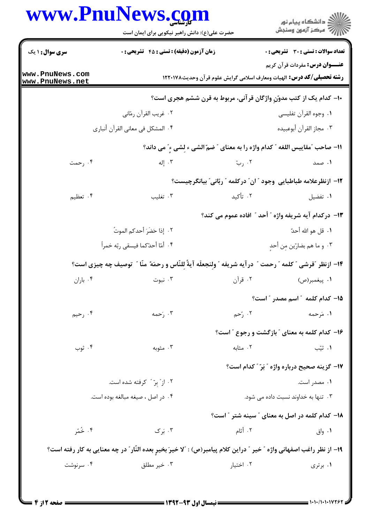## www.PnuNews.com

|                                    | www.PnuNews.com<br>حضرت علی(ع): دانش راهبر نیکویی برای ایمان است                                                      |                   | ر<br>دانشڪاه پيام نور)<br>ا                                                    |  |
|------------------------------------|-----------------------------------------------------------------------------------------------------------------------|-------------------|--------------------------------------------------------------------------------|--|
| <b>سری سوال : ۱ یک</b>             | <b>زمان آزمون (دقیقه) : تستی : 45 تشریحی : 0</b>                                                                      |                   | تعداد سوالات : تستي : 30 - تشريحي : 0<br><b>عنـــوان درس:</b> مفردات قرآن کریم |  |
| www.PnuNews.com<br>www.PnuNews.net |                                                                                                                       |                   | <b>رشته تحصیلی/کد درس:</b> الهیات ومعارف اسلامی گرایش علوم قرآن وحدیث۱۲۲۰۱۷۸   |  |
|                                    |                                                                                                                       |                   | ۱۰- کدام یک از کتب مدوّنِ واژگان قر آنی، مربوط به قرن ششم هجری است؟            |  |
|                                    | ٠٢ غريب القرأن رمّاني                                                                                                 |                   | ٠١. وجوه القرآن تفليسي                                                         |  |
|                                    | ۰۴ المشكل في معاني القرآن أنباري                                                                                      |                   | ٠٣ مجاز القرآن أبوعبيده                                                        |  |
|                                    | 11- صاحب "مقاييس اللغه " كدام واژه را به معناي " ضمّ الشي ء لشي ءِ" مي داند؟                                          |                   |                                                                                |  |
| ۰۴ رحمت                            | ۰۳ إله                                                                                                                | ۰۲ <sub>ر</sub> ب | ۱. صمد                                                                         |  |
|                                    |                                                                                                                       |                   | ۱۲− ازنظرعلامه طباطبایی وجود ″ ان″ درکلمه ″ ربّانی″ بیانگرچیست؟                |  |
| ۰۴ تعظیم                           | ۰۳ تغلیب                                                                                                              | ۲. تأکید          | ٠١ تفضيل                                                                       |  |
|                                    |                                                                                                                       |                   | ۱۳- درکدام آیه شریفه واژه ″ أحد ″ افاده عموم می کند؟                           |  |
|                                    | ٢. إذا حَضَرَ أحدكم الموتُ                                                                                            |                   | ٠١. قل هو الله أحدّ                                                            |  |
|                                    | ۴. أمّا أحدٌكما فيسقى ربّه خمراً                                                                                      |                   | ٠٣ و ما هم بضارّين مِن أحدِ                                                    |  |
|                                    | ١٤- ازنظر "قرشي " كلمه " رحمت " درآيه شريفه " ولِنجعلَه آيةً لِلنَّاس و رحمَهً منَّا " توصيف چه چيزي است؟             |                   |                                                                                |  |
| ۰۴ باران                           |                                                                                                                       |                   |                                                                                |  |
|                                    |                                                                                                                       |                   | ۱۵– کدام کلمه ″ اسم مصدر ″ است؟                                                |  |
| ۰۴ رحیم                            | ۰۳ رَحمه                                                                                                              | ۰۲ رُحم           | ۱. مَرحمه                                                                      |  |
|                                    |                                                                                                                       |                   | ۱۶- کدام کلمه به معنای " بازگشت و رجوع " است؟                                  |  |
| ۰۴ ثوب                             | ۰۳ مثوبه                                                                                                              | ۰۲ مثابه          | ۰۱ ثیّب                                                                        |  |
|                                    |                                                                                                                       |                   | <b>۱۷- گزینه صحیح درباره واژه "بَرّ "کدام است</b> ؟                            |  |
| ۰۲ از ٌ بِرّ " کرفته شده است.      |                                                                                                                       |                   | ۰۱ مصدر است.                                                                   |  |
|                                    | ۰۴ در اصل ، صیغه مبالغه بوده است.                                                                                     |                   | ۰۳ تنها به خداوند نسبت داده می شود.                                            |  |
|                                    |                                                                                                                       |                   | ۱۸– کدام کلمه در اصل به معنای " سینه شتر " است؟                                |  |
| ۰۴ خُمُر                           | ۰۳ بَرک                                                                                                               | ۰۲ أثام           | ۰۱ واق                                                                         |  |
|                                    | ۱۹– از نظر راغب اصفهانی واژه " خیر " دراین کلام پیامبر(ص) : "لا خیرَ بخیرٍ بعده النّار" در چه معنایی به کار رفته است؟ |                   |                                                                                |  |
| ۰۴ سرنوشت                          | ۰۳ خیر مطلق                                                                                                           | ۰۲ اختیار         | ۰۱ برتری                                                                       |  |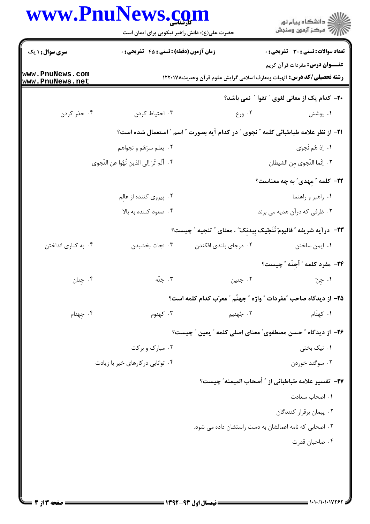| www.PnuNews.com                    | حضرت علی(ع): دانش راهبر نیکویی برای ایمان است |                       | د دانشڪاه پيام نور<br>7- مرڪز آزمون وسنڊش                                                                             |
|------------------------------------|-----------------------------------------------|-----------------------|-----------------------------------------------------------------------------------------------------------------------|
| <b>سری سوال : ۱ یک</b>             | زمان آزمون (دقیقه) : تستی : 45 آتشریحی : 0    |                       | <b>تعداد سوالات : تستی : 30 ٪ تشریحی : 0</b>                                                                          |
| www.PnuNews.com<br>www.PnuNews.net |                                               |                       | <b>عنـــوان درس:</b> مفردات قرآن کریم<br><b>رشته تحصیلی/کد درس:</b> الهیات ومعارف اسلامی گرایش علوم قرآن وحدیث۱۲۲۰۱۷۸ |
|                                    |                                               |                       | <b>۲۰</b> - کدام یک از معانی لغوی " تقوا " نمی باشد؟                                                                  |
| ۰۴ حذر کردن                        | ۰۳ احتیاط کردن                                | ۰۲ ورع                | ۰۱ پوشش                                                                                                               |
|                                    |                                               |                       | <b>ا۲− از نظر علامه طباطبائی کلمه ″ نجوی ″ در کدام آیه بصورت ″ اسم ″ استعمال شده است؟</b>                             |
|                                    | ۰۲ یعلم سرّهٔم و نجواهم                       |                       | ١. إذ هُم نَجوَى                                                                                                      |
|                                    | ۴. أَلَم تَرَ إلى الذين نَهْوا عن النّجوي     |                       | ٠٣ إنّما النّجوى مِن الشيطان                                                                                          |
|                                    |                                               |                       | <b>۲۲</b> – کلمه ″مهدی″ به چه معناست؟                                                                                 |
|                                    | ۰۲ پیروی کننده از عالِم                       |                       | ۰۱ راهبر و راهنما                                                                                                     |
|                                    | ۰۴ صعود کننده به بالا                         |                       | ۰۳ ظرفی که درآن هدیه می برند                                                                                          |
|                                    |                                               |                       | ٢٣- درآيه شريفه "فاليومَ نُنَجّيك بِبدنِكَ" ، معناي " تنجيه " چيست؟                                                   |
| ۰۴ به کناری انداختن                | ۰۳ نجات بخشيدن                                | ۰۲ درجای بلندی افکندن | ۰۱ ایمن ساختن                                                                                                         |
|                                    |                                               |                       | ٢۴- مفرد كلمه " أُجِنَّه "چيست؟                                                                                       |
| ۰۴ جنان                            | ۰۳ جَنّه                                      | ۰۲ جنين               | ١. جِنّ                                                                                                               |
|                                    |                                               |                       | 1۵– از دیدگاه صاحب "مفردات " واژه " جهنّم " معرّب کدام کلمه است؟                                                      |
| ۰۴ جهنام                           | ۰۳ کهنوم                                      | ۲. جٌهنيم             | ۰۱ کهنّام                                                                                                             |
|                                    |                                               |                       | ۲۶– از دیدگاه " حسن مصطفوی" معنای اصلی کلمه " یمین " چیست؟                                                            |
|                                    | ۰۲ مبارک و برکت                               |                       | ۰۱ نیک بختی                                                                                                           |
|                                    | ۰۴ توانایی در کارهای خیر با زیادت             |                       | ۰۳ سوگند خوردن                                                                                                        |
|                                    |                                               |                       | TV−  تفسير علامه طباطبائي از ″ أصحاب الميمنه″ چيست؟                                                                   |
|                                    |                                               |                       | ۰۱ اصحاب سعادت                                                                                                        |
|                                    |                                               |                       | ۰۲ پیمان برقرار کنندگان                                                                                               |
|                                    |                                               |                       | ۰۳ اصحابی که نامه اعمالشان به دست راستشان داده می شود.                                                                |
|                                    |                                               |                       | ۰۴ صاحبان قدرت                                                                                                        |
|                                    |                                               |                       |                                                                                                                       |
|                                    |                                               |                       |                                                                                                                       |